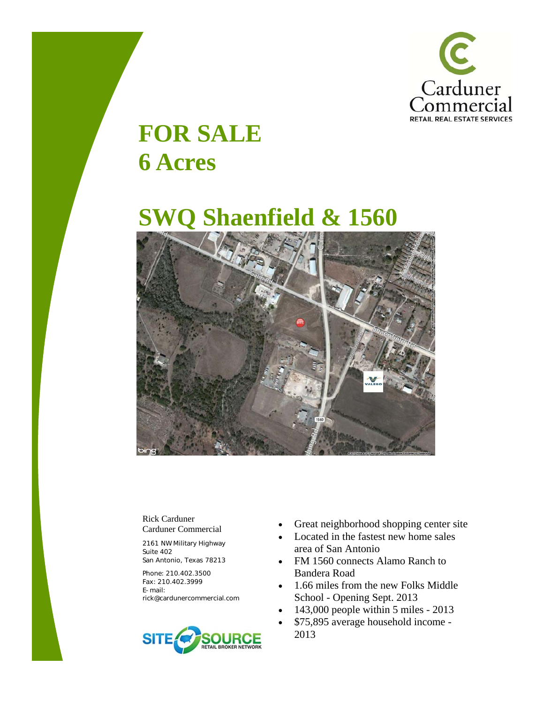

## **FOR SALE 6 Acres**

## **SWQ Shaenfield & 1560**



Rick Carduner Carduner Commercial

2161 NW Military Highway Suite 402 San Antonio, Texas 78213

Phone: 210.402.3500 Fax: 210.402.3999 E-mail: rick@cardunercommercial.com



- Great neighborhood shopping center site
- Located in the fastest new home sales area of San Antonio
- FM 1560 connects Alamo Ranch to Bandera Road
- 1.66 miles from the new Folks Middle School - Opening Sept. 2013
- 143,000 people within 5 miles 2013
- \$75,895 average household income 2013